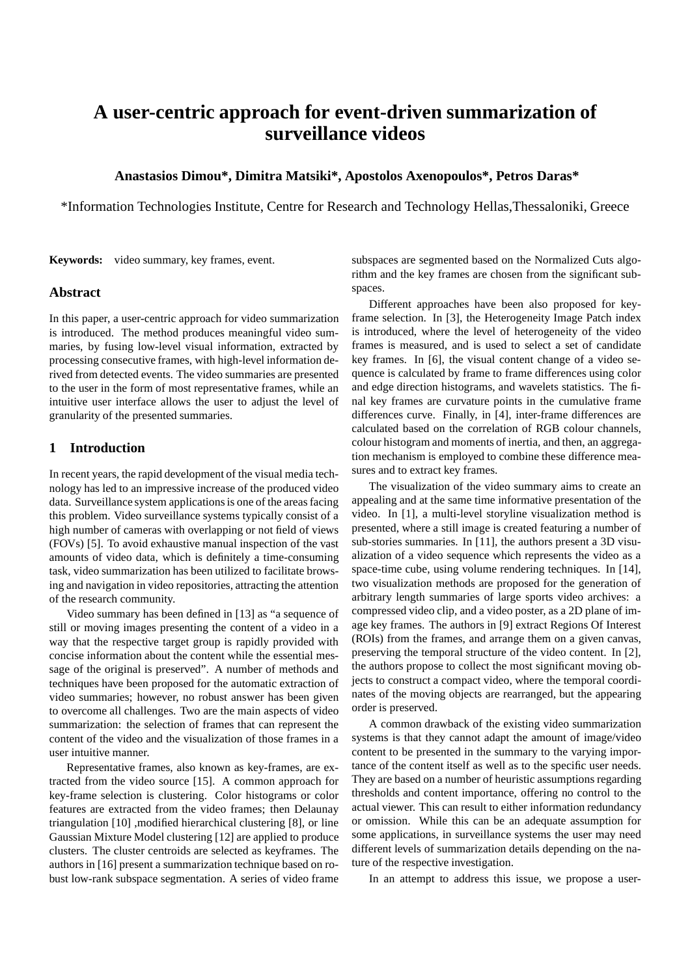# **A user-centric approach for event-driven summarization of surveillance videos**

### **Anastasios Dimou\*, Dimitra Matsiki\*, Apostolos Axenopoulos\*, Petros Daras\***

\*Information Technologies Institute, Centre for Research and Technology Hellas,Thessaloniki, Greece

**Keywords:** video summary, key frames, event.

### **Abstract**

In this paper, a user-centric approach for video summarization is introduced. The method produces meaningful video summaries, by fusing low-level visual information, extracted by processing consecutive frames, with high-level information derived from detected events. The video summaries are presented to the user in the form of most representative frames, while an intuitive user interface allows the user to adjust the level of granularity of the presented summaries.

### **1 Introduction**

In recent years, the rapid development of the visual media technology has led to an impressive increase of the produced video data. Surveillance system applications is one of the areas facing this problem. Video surveillance systems typically consist of a high number of cameras with overlapping or not field of views (FOVs) [5]. To avoid exhaustive manual inspection of the vast amounts of video data, which is definitely a time-consuming task, video summarization has been utilized to facilitate browsing and navigation in video repositories, attracting the attention of the research community.

Video summary has been defined in [13] as "a sequence of still or moving images presenting the content of a video in a way that the respective target group is rapidly provided with concise information about the content while the essential message of the original is preserved". A number of methods and techniques have been proposed for the automatic extraction of video summaries; however, no robust answer has been given to overcome all challenges. Two are the main aspects of video summarization: the selection of frames that can represent the content of the video and the visualization of those frames in a user intuitive manner.

Representative frames, also known as key-frames, are extracted from the video source [15]. A common approach for key-frame selection is clustering. Color histograms or color features are extracted from the video frames; then Delaunay triangulation [10] ,modified hierarchical clustering [8], or line Gaussian Mixture Model clustering [12] are applied to produce clusters. The cluster centroids are selected as keyframes. The authors in [16] present a summarization technique based on robust low-rank subspace segmentation. A series of video frame

subspaces are segmented based on the Normalized Cuts algorithm and the key frames are chosen from the significant subspaces.

Different approaches have been also proposed for keyframe selection. In [3], the Heterogeneity Image Patch index is introduced, where the level of heterogeneity of the video frames is measured, and is used to select a set of candidate key frames. In [6], the visual content change of a video sequence is calculated by frame to frame differences using color and edge direction histograms, and wavelets statistics. The final key frames are curvature points in the cumulative frame differences curve. Finally, in [4], inter-frame differences are calculated based on the correlation of RGB colour channels, colour histogram and moments of inertia, and then, an aggregation mechanism is employed to combine these difference measures and to extract key frames.

The visualization of the video summary aims to create an appealing and at the same time informative presentation of the video. In [1], a multi-level storyline visualization method is presented, where a still image is created featuring a number of sub-stories summaries. In [11], the authors present a 3D visualization of a video sequence which represents the video as a space-time cube, using volume rendering techniques. In [14], two visualization methods are proposed for the generation of arbitrary length summaries of large sports video archives: a compressed video clip, and a video poster, as a 2D plane of image key frames. The authors in [9] extract Regions Of Interest (ROIs) from the frames, and arrange them on a given canvas, preserving the temporal structure of the video content. In [2], the authors propose to collect the most significant moving objects to construct a compact video, where the temporal coordinates of the moving objects are rearranged, but the appearing order is preserved.

A common drawback of the existing video summarization systems is that they cannot adapt the amount of image/video content to be presented in the summary to the varying importance of the content itself as well as to the specific user needs. They are based on a number of heuristic assumptions regarding thresholds and content importance, offering no control to the actual viewer. This can result to either information redundancy or omission. While this can be an adequate assumption for some applications, in surveillance systems the user may need different levels of summarization details depending on the nature of the respective investigation.

In an attempt to address this issue, we propose a user-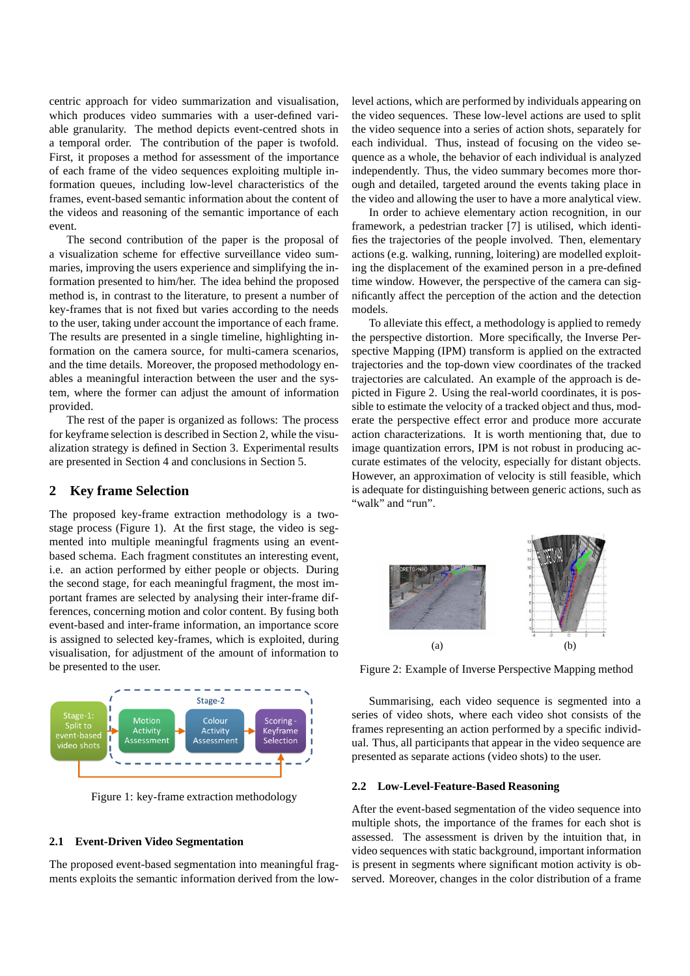centric approach for video summarization and visualisation, which produces video summaries with a user-defined variable granularity. The method depicts event-centred shots in a temporal order. The contribution of the paper is twofold. First, it proposes a method for assessment of the importance of each frame of the video sequences exploiting multiple information queues, including low-level characteristics of the frames, event-based semantic information about the content of the videos and reasoning of the semantic importance of each event.

The second contribution of the paper is the proposal of a visualization scheme for effective surveillance video summaries, improving the users experience and simplifying the information presented to him/her. The idea behind the proposed method is, in contrast to the literature, to present a number of key-frames that is not fixed but varies according to the needs to the user, taking under account the importance of each frame. The results are presented in a single timeline, highlighting information on the camera source, for multi-camera scenarios, and the time details. Moreover, the proposed methodology enables a meaningful interaction between the user and the system, where the former can adjust the amount of information provided.

The rest of the paper is organized as follows: The process for keyframe selection is described in Section 2, while the visualization strategy is defined in Section 3. Experimental results are presented in Section 4 and conclusions in Section 5.

## **2 Key frame Selection**

The proposed key-frame extraction methodology is a twostage process (Figure 1). At the first stage, the video is segmented into multiple meaningful fragments using an eventbased schema. Each fragment constitutes an interesting event, i.e. an action performed by either people or objects. During the second stage, for each meaningful fragment, the most important frames are selected by analysing their inter-frame differences, concerning motion and color content. By fusing both event-based and inter-frame information, an importance score is assigned to selected key-frames, which is exploited, during visualisation, for adjustment of the amount of information to be presented to the user.



Figure 1: key-frame extraction methodology

#### **2.1 Event-Driven Video Segmentation**

The proposed event-based segmentation into meaningful fragments exploits the semantic information derived from the lowlevel actions, which are performed by individuals appearing on the video sequences. These low-level actions are used to split the video sequence into a series of action shots, separately for each individual. Thus, instead of focusing on the video sequence as a whole, the behavior of each individual is analyzed independently. Thus, the video summary becomes more thorough and detailed, targeted around the events taking place in the video and allowing the user to have a more analytical view.

In order to achieve elementary action recognition, in our framework, a pedestrian tracker [7] is utilised, which identifies the trajectories of the people involved. Then, elementary actions (e.g. walking, running, loitering) are modelled exploiting the displacement of the examined person in a pre-defined time window. However, the perspective of the camera can significantly affect the perception of the action and the detection models.

To alleviate this effect, a methodology is applied to remedy the perspective distortion. More specifically, the Inverse Perspective Mapping (IPM) transform is applied on the extracted trajectories and the top-down view coordinates of the tracked trajectories are calculated. An example of the approach is depicted in Figure 2. Using the real-world coordinates, it is possible to estimate the velocity of a tracked object and thus, moderate the perspective effect error and produce more accurate action characterizations. It is worth mentioning that, due to image quantization errors, IPM is not robust in producing accurate estimates of the velocity, especially for distant objects. However, an approximation of velocity is still feasible, which is adequate for distinguishing between generic actions, such as "walk" and "run".



Figure 2: Example of Inverse Perspective Mapping method

Summarising, each video sequence is segmented into a series of video shots, where each video shot consists of the frames representing an action performed by a specific individual. Thus, all participants that appear in the video sequence are presented as separate actions (video shots) to the user.

#### **2.2 Low-Level-Feature-Based Reasoning**

After the event-based segmentation of the video sequence into multiple shots, the importance of the frames for each shot is assessed. The assessment is driven by the intuition that, in video sequences with static background, important information is present in segments where significant motion activity is observed. Moreover, changes in the color distribution of a frame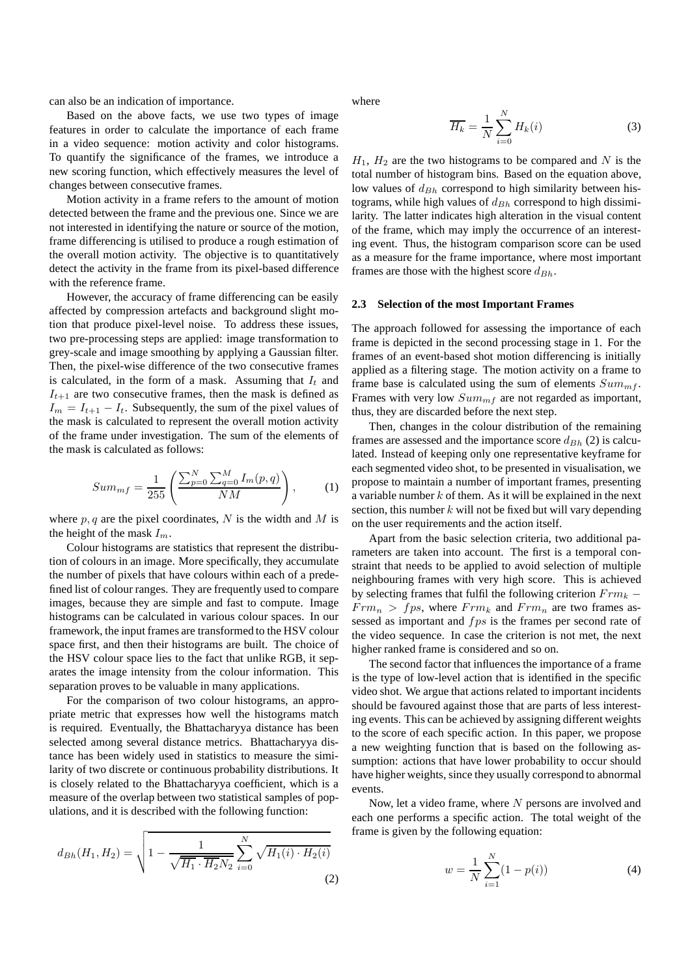can also be an indication of importance.

Based on the above facts, we use two types of image features in order to calculate the importance of each frame in a video sequence: motion activity and color histograms. To quantify the significance of the frames, we introduce a new scoring function, which effectively measures the level of changes between consecutive frames.

Motion activity in a frame refers to the amount of motion detected between the frame and the previous one. Since we are not interested in identifying the nature or source of the motion, frame differencing is utilised to produce a rough estimation of the overall motion activity. The objective is to quantitatively detect the activity in the frame from its pixel-based difference with the reference frame.

However, the accuracy of frame differencing can be easily affected by compression artefacts and background slight motion that produce pixel-level noise. To address these issues, two pre-processing steps are applied: image transformation to grey-scale and image smoothing by applying a Gaussian filter. Then, the pixel-wise difference of the two consecutive frames is calculated, in the form of a mask. Assuming that  $I_t$  and  $I_{t+1}$  are two consecutive frames, then the mask is defined as  $I_m = I_{t+1} - I_t$ . Subsequently, the sum of the pixel values of the mask is calculated to represent the overall motion activity of the frame under investigation. The sum of the elements of the mask is calculated as follows:

$$
Sum_{mf} = \frac{1}{255} \left( \frac{\sum_{p=0}^{N} \sum_{q=0}^{M} I_m(p,q)}{NM} \right), \quad (1)
$$

where *p, q* are the pixel coordinates, *N* is the width and *M* is the height of the mask *Im*.

Colour histograms are statistics that represent the distribution of colours in an image. More specifically, they accumulate the number of pixels that have colours within each of a predefined list of colour ranges. They are frequently used to compare images, because they are simple and fast to compute. Image histograms can be calculated in various colour spaces. In our framework, the input frames are transformed to the HSV colour space first, and then their histograms are built. The choice of the HSV colour space lies to the fact that unlike RGB, it separates the image intensity from the colour information. This separation proves to be valuable in many applications.

For the comparison of two colour histograms, an appropriate metric that expresses how well the histograms match is required. Eventually, the Bhattacharyya distance has been selected among several distance metrics. Bhattacharyya distance has been widely used in statistics to measure the similarity of two discrete or continuous probability distributions. It is closely related to the Bhattacharyya coefficient, which is a measure of the overlap between two statistical samples of populations, and it is described with the following function:

$$
d_{Bh}(H_1, H_2) = \sqrt{1 - \frac{1}{\sqrt{\overline{H_1} \cdot \overline{H_2} N_2}} \sum_{i=0}^{N} \sqrt{H_1(i) \cdot H_2(i)}}
$$
\n(2)

where

$$
\overline{H_k} = \frac{1}{N} \sum_{i=0}^{N} H_k(i)
$$
\n(3)

 $H_1$ ,  $H_2$  are the two histograms to be compared and *N* is the total number of histogram bins. Based on the equation above, low values of *dBh* correspond to high similarity between histograms, while high values of *dBh* correspond to high dissimilarity. The latter indicates high alteration in the visual content of the frame, which may imply the occurrence of an interesting event. Thus, the histogram comparison score can be used as a measure for the frame importance, where most important frames are those with the highest score *dBh*.

#### **2.3 Selection of the most Important Frames**

The approach followed for assessing the importance of each frame is depicted in the second processing stage in 1. For the frames of an event-based shot motion differencing is initially applied as a filtering stage. The motion activity on a frame to frame base is calculated using the sum of elements *Summf* . Frames with very low *Summf* are not regarded as important, thus, they are discarded before the next step.

Then, changes in the colour distribution of the remaining frames are assessed and the importance score  $d_{Bh}$  (2) is calculated. Instead of keeping only one representative keyframe for each segmented video shot, to be presented in visualisation, we propose to maintain a number of important frames, presenting a variable number *k* of them. As it will be explained in the next section, this number *k* will not be fixed but will vary depending on the user requirements and the action itself.

Apart from the basic selection criteria, two additional parameters are taken into account. The first is a temporal constraint that needs to be applied to avoid selection of multiple neighbouring frames with very high score. This is achieved by selecting frames that fulfil the following criterion *Frm<sup>k</sup>* −  $Frm_n > fps$ , where  $Frm_k$  and  $Frm_n$  are two frames assessed as important and *fps* is the frames per second rate of the video sequence. In case the criterion is not met, the next higher ranked frame is considered and so on.

The second factor that influences the importance of a frame is the type of low-level action that is identified in the specific video shot. We argue that actions related to important incidents should be favoured against those that are parts of less interesting events. This can be achieved by assigning different weights to the score of each specific action. In this paper, we propose a new weighting function that is based on the following assumption: actions that have lower probability to occur should have higher weights, since they usually correspond to abnormal events.

Now, let a video frame, where *N* persons are involved and each one performs a specific action. The total weight of the frame is given by the following equation:

$$
w = \frac{1}{N} \sum_{i=1}^{N} (1 - p(i))
$$
 (4)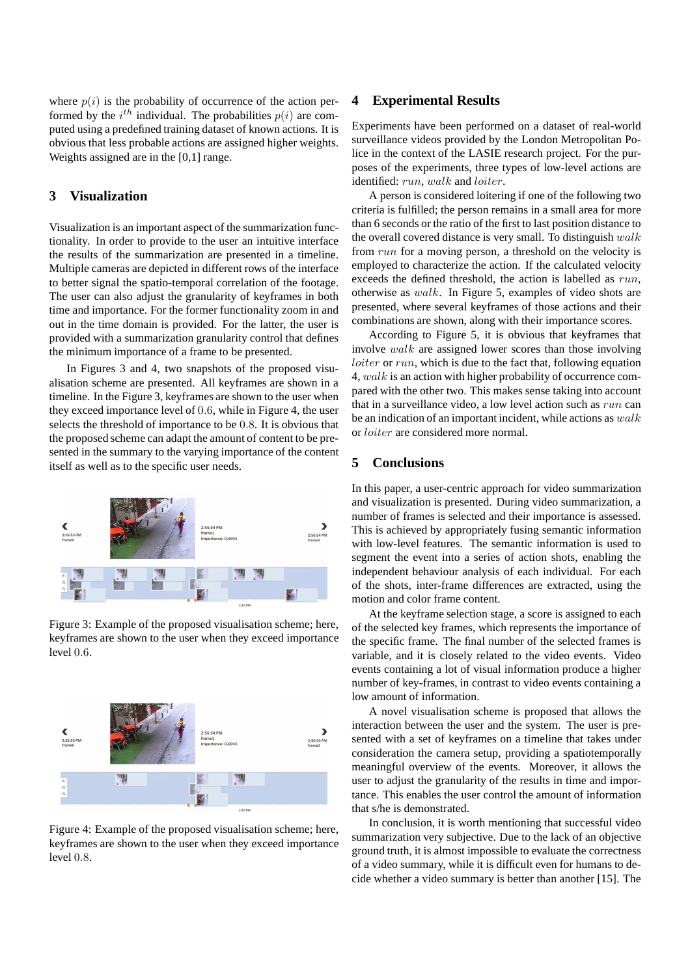where  $p(i)$  is the probability of occurrence of the action performed by the  $i^{th}$  individual. The probabilities  $p(i)$  are computed using a predefined training dataset of known actions. It is obvious that less probable actions are assigned higher weights. Weights assigned are in the [0,1] range.

## **3 Visualization**

Visualization is an important aspect of the summarization functionality. In order to provide to the user an intuitive interface the results of the summarization are presented in a timeline. Multiple cameras are depicted in different rows of the interface to better signal the spatio-temporal correlation of the footage. The user can also adjust the granularity of keyframes in both time and importance. For the former functionality zoom in and out in the time domain is provided. For the latter, the user is provided with a summarization granularity control that defines the minimum importance of a frame to be presented.

In Figures 3 and 4, two snapshots of the proposed visualisation scheme are presented. All keyframes are shown in a timeline. In the Figure 3, keyframes are shown to the user when they exceed importance level of 0*.*6, while in Figure 4, the user selects the threshold of importance to be 0*.*8. It is obvious that the proposed scheme can adapt the amount of content to be presented in the summary to the varying importance of the content itself as well as to the specific user needs.



Figure 3: Example of the proposed visualisation scheme; here, keyframes are shown to the user when they exceed importance level 0*.*6.



Figure 4: Example of the proposed visualisation scheme; here, keyframes are shown to the user when they exceed importance level 0*.*8.

### **4 Experimental Results**

Experiments have been performed on a dataset of real-world surveillance videos provided by the London Metropolitan Police in the context of the LASIE research project. For the purposes of the experiments, three types of low-level actions are identified: *run*, *walk* and *loiter*.

A person is considered loitering if one of the following two criteria is fulfilled; the person remains in a small area for more than 6 seconds or the ratio of the first to last position distance to the overall covered distance is very small. To distinguish *walk* from *run* for a moving person, a threshold on the velocity is employed to characterize the action. If the calculated velocity exceeds the defined threshold, the action is labelled as *run*, otherwise as *walk*. In Figure 5, examples of video shots are presented, where several keyframes of those actions and their combinations are shown, along with their importance scores.

According to Figure 5, it is obvious that keyframes that involve *walk* are assigned lower scores than those involving *loiter* or *run*, which is due to the fact that, following equation 4, *walk* is an action with higher probability of occurrence compared with the other two. This makes sense taking into account that in a surveillance video, a low level action such as *run* can be an indication of an important incident, while actions as *walk* or *loiter* are considered more normal.

### **5 Conclusions**

In this paper, a user-centric approach for video summarization and visualization is presented. During video summarization, a number of frames is selected and their importance is assessed. This is achieved by appropriately fusing semantic information with low-level features. The semantic information is used to segment the event into a series of action shots, enabling the independent behaviour analysis of each individual. For each of the shots, inter-frame differences are extracted, using the motion and color frame content.

At the keyframe selection stage, a score is assigned to each of the selected key frames, which represents the importance of the specific frame. The final number of the selected frames is variable, and it is closely related to the video events. Video events containing a lot of visual information produce a higher number of key-frames, in contrast to video events containing a low amount of information.

A novel visualisation scheme is proposed that allows the interaction between the user and the system. The user is presented with a set of keyframes on a timeline that takes under consideration the camera setup, providing a spatiotemporally meaningful overview of the events. Moreover, it allows the user to adjust the granularity of the results in time and importance. This enables the user control the amount of information that s/he is demonstrated.

In conclusion, it is worth mentioning that successful video summarization very subjective. Due to the lack of an objective ground truth, it is almost impossible to evaluate the correctness of a video summary, while it is difficult even for humans to decide whether a video summary is better than another [15]. The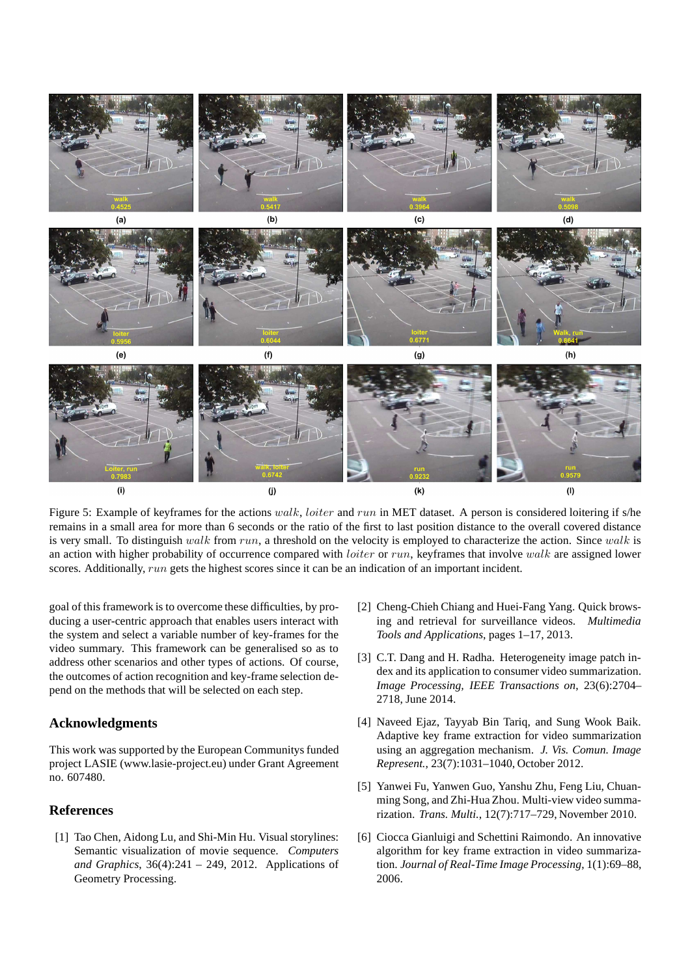

Figure 5: Example of keyframes for the actions *walk*, *loiter* and *run* in MET dataset. A person is considered loitering if s/he remains in a small area for more than 6 seconds or the ratio of the first to last position distance to the overall covered distance is very small. To distinguish *walk* from *run*, a threshold on the velocity is employed to characterize the action. Since *walk* is an action with higher probability of occurrence compared with *loiter* or *run*, keyframes that involve *walk* are assigned lower scores. Additionally, *run* gets the highest scores since it can be an indication of an important incident.

goal of this framework is to overcome these difficulties, by producing a user-centric approach that enables users interact with the system and select a variable number of key-frames for the video summary. This framework can be generalised so as to address other scenarios and other types of actions. Of course, the outcomes of action recognition and key-frame selection depend on the methods that will be selected on each step.

# **Acknowledgments**

This work was supported by the European Communitys funded project LASIE (www.lasie-project.eu) under Grant Agreement no. 607480.

## **References**

[1] Tao Chen, Aidong Lu, and Shi-Min Hu. Visual storylines: Semantic visualization of movie sequence. *Computers and Graphics*, 36(4):241 – 249, 2012. Applications of Geometry Processing.

- [2] Cheng-Chieh Chiang and Huei-Fang Yang. Quick browsing and retrieval for surveillance videos. *Multimedia Tools and Applications*, pages 1–17, 2013.
- [3] C.T. Dang and H. Radha. Heterogeneity image patch index and its application to consumer video summarization. *Image Processing, IEEE Transactions on*, 23(6):2704– 2718, June 2014.
- [4] Naveed Ejaz, Tayyab Bin Tariq, and Sung Wook Baik. Adaptive key frame extraction for video summarization using an aggregation mechanism. *J. Vis. Comun. Image Represent.*, 23(7):1031–1040, October 2012.
- [5] Yanwei Fu, Yanwen Guo, Yanshu Zhu, Feng Liu, Chuanming Song, and Zhi-Hua Zhou. Multi-view video summarization. *Trans. Multi.*, 12(7):717–729, November 2010.
- [6] Ciocca Gianluigi and Schettini Raimondo. An innovative algorithm for key frame extraction in video summarization. *Journal of Real-Time Image Processing*, 1(1):69–88, 2006.